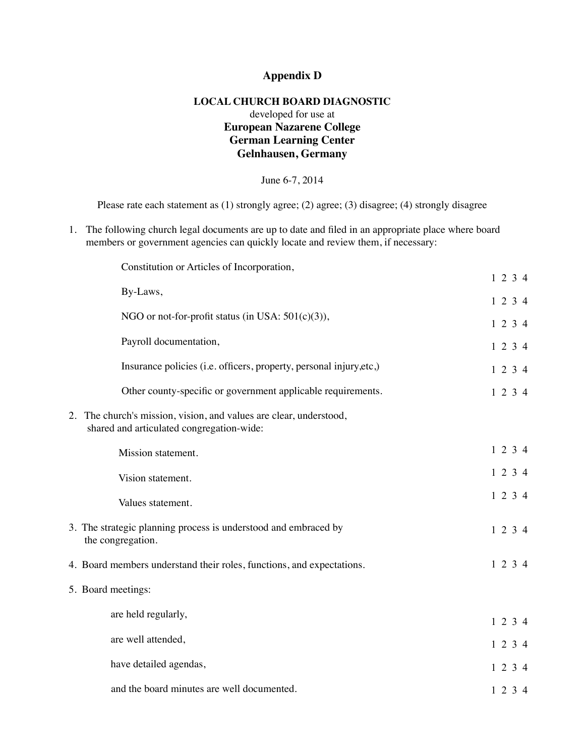## **Appendix D**

## **LOCAL CHURCH BOARD DIAGNOSTIC** developed for use at **European Nazarene College German Learning Center Gelnhausen, Germany**

June 6-7, 2014

Please rate each statement as (1) strongly agree; (2) agree; (3) disagree; (4) strongly disagree

1. The following church legal documents are up to date and filed in an appropriate place where board members or government agencies can quickly locate and review them, if necessary:

| Constitution or Articles of Incorporation,                                                                      |         |
|-----------------------------------------------------------------------------------------------------------------|---------|
|                                                                                                                 | 1234    |
| By-Laws,                                                                                                        | 1234    |
| NGO or not-for-profit status (in USA: $501(c)(3)$ ),                                                            | 1234    |
| Payroll documentation,                                                                                          | 1234    |
| Insurance policies (i.e. officers, property, personal injury, etc.)                                             | 1 2 3 4 |
| Other county-specific or government applicable requirements.                                                    | 1234    |
| 2. The church's mission, vision, and values are clear, understood,<br>shared and articulated congregation-wide: |         |
| Mission statement.                                                                                              | 1234    |
| Vision statement.                                                                                               | 1234    |
| Values statement.                                                                                               | 1234    |
| 3. The strategic planning process is understood and embraced by<br>the congregation.                            | 1234    |
| 4. Board members understand their roles, functions, and expectations.                                           | 1234    |
| 5. Board meetings:                                                                                              |         |
| are held regularly,                                                                                             | 1234    |
| are well attended,                                                                                              | 1234    |
| have detailed agendas,                                                                                          | 1234    |
| and the board minutes are well documented.                                                                      | 1 2 3 4 |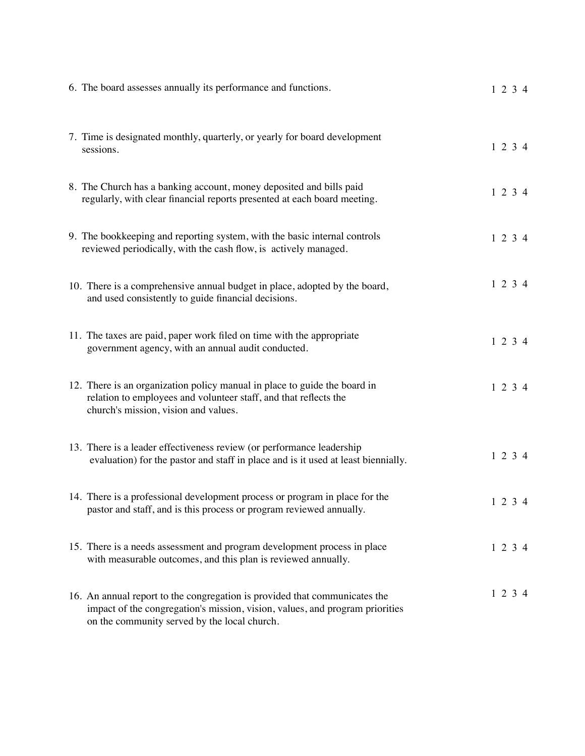| 6. The board assesses annually its performance and functions.                                                                                                                                              | $1\ 2\ 3\ 4$ |
|------------------------------------------------------------------------------------------------------------------------------------------------------------------------------------------------------------|--------------|
| 7. Time is designated monthly, quarterly, or yearly for board development<br>sessions.                                                                                                                     | $1\ 2\ 3\ 4$ |
| 8. The Church has a banking account, money deposited and bills paid<br>regularly, with clear financial reports presented at each board meeting.                                                            | 1234         |
| 9. The bookkeeping and reporting system, with the basic internal controls<br>reviewed periodically, with the cash flow, is actively managed.                                                               | $1\ 2\ 3\ 4$ |
| 10. There is a comprehensive annual budget in place, adopted by the board,<br>and used consistently to guide financial decisions.                                                                          | 1234         |
| 11. The taxes are paid, paper work filed on time with the appropriate<br>government agency, with an annual audit conducted.                                                                                | $1\ 2\ 3\ 4$ |
| 12. There is an organization policy manual in place to guide the board in<br>relation to employees and volunteer staff, and that reflects the<br>church's mission, vision and values.                      | 1234         |
| 13. There is a leader effectiveness review (or performance leadership<br>evaluation) for the pastor and staff in place and is it used at least biennially.                                                 | $1\ 2\ 3\ 4$ |
| 14. There is a professional development process or program in place for the<br>pastor and staff, and is this process or program reviewed annually.                                                         | 1234         |
| 15. There is a needs assessment and program development process in place<br>with measurable outcomes, and this plan is reviewed annually.                                                                  | $1\ 2\ 3\ 4$ |
| 16. An annual report to the congregation is provided that communicates the<br>impact of the congregation's mission, vision, values, and program priorities<br>on the community served by the local church. | 1234         |